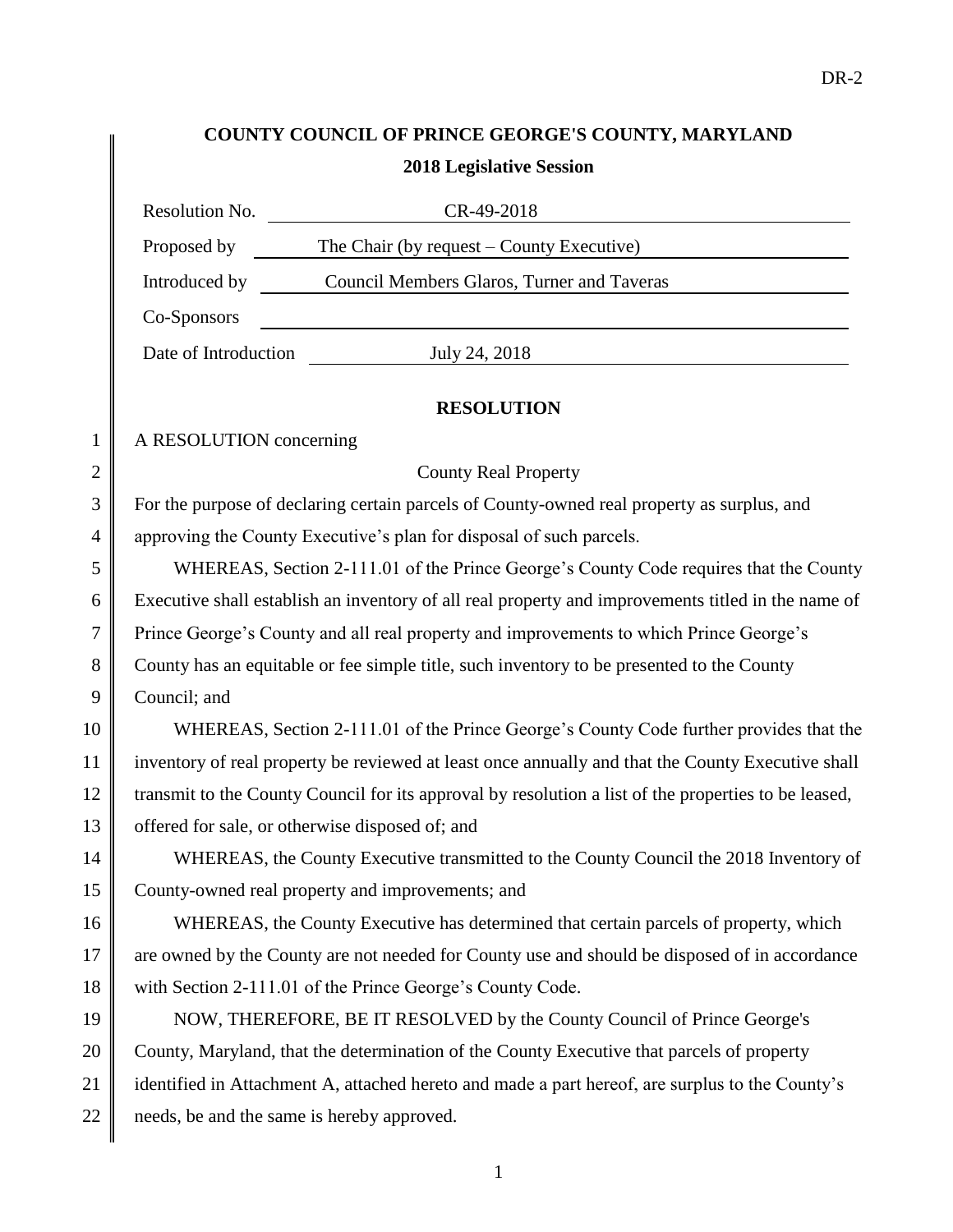# **COUNTY COUNCIL OF PRINCE GEORGE'S COUNTY, MARYLAND 2018 Legislative Session**

|                | Resolution No.<br>CR-49-2018                                                                         |  |  |
|----------------|------------------------------------------------------------------------------------------------------|--|--|
|                | Proposed by<br>The Chair (by request $-$ County Executive)                                           |  |  |
|                | Introduced by<br>Council Members Glaros, Turner and Taveras                                          |  |  |
|                | Co-Sponsors                                                                                          |  |  |
|                | July 24, 2018<br>Date of Introduction                                                                |  |  |
|                |                                                                                                      |  |  |
|                | <b>RESOLUTION</b>                                                                                    |  |  |
| $\mathbf{1}$   | A RESOLUTION concerning                                                                              |  |  |
| $\overline{2}$ | <b>County Real Property</b>                                                                          |  |  |
| 3              | For the purpose of declaring certain parcels of County-owned real property as surplus, and           |  |  |
| 4              | approving the County Executive's plan for disposal of such parcels.                                  |  |  |
| 5              | WHEREAS, Section 2-111.01 of the Prince George's County Code requires that the County                |  |  |
| 6              | Executive shall establish an inventory of all real property and improvements titled in the name of   |  |  |
| 7              | Prince George's County and all real property and improvements to which Prince George's               |  |  |
| 8              | County has an equitable or fee simple title, such inventory to be presented to the County            |  |  |
| 9              | Council; and                                                                                         |  |  |
| 10             | WHEREAS, Section 2-111.01 of the Prince George's County Code further provides that the               |  |  |
| 11             | inventory of real property be reviewed at least once annually and that the County Executive shall    |  |  |
| 12             | transmit to the County Council for its approval by resolution a list of the properties to be leased, |  |  |
| 13             | offered for sale, or otherwise disposed of; and                                                      |  |  |
| 14             | WHEREAS, the County Executive transmitted to the County Council the 2018 Inventory of                |  |  |
| 15             | County-owned real property and improvements; and                                                     |  |  |
| 16             | WHEREAS, the County Executive has determined that certain parcels of property, which                 |  |  |
| 17             | are owned by the County are not needed for County use and should be disposed of in accordance        |  |  |
| 18             | with Section 2-111.01 of the Prince George's County Code.                                            |  |  |
| 19             | NOW, THEREFORE, BE IT RESOLVED by the County Council of Prince George's                              |  |  |
| 20             | County, Maryland, that the determination of the County Executive that parcels of property            |  |  |
| 21             | identified in Attachment A, attached hereto and made a part hereof, are surplus to the County's      |  |  |
| 22             | needs, be and the same is hereby approved.                                                           |  |  |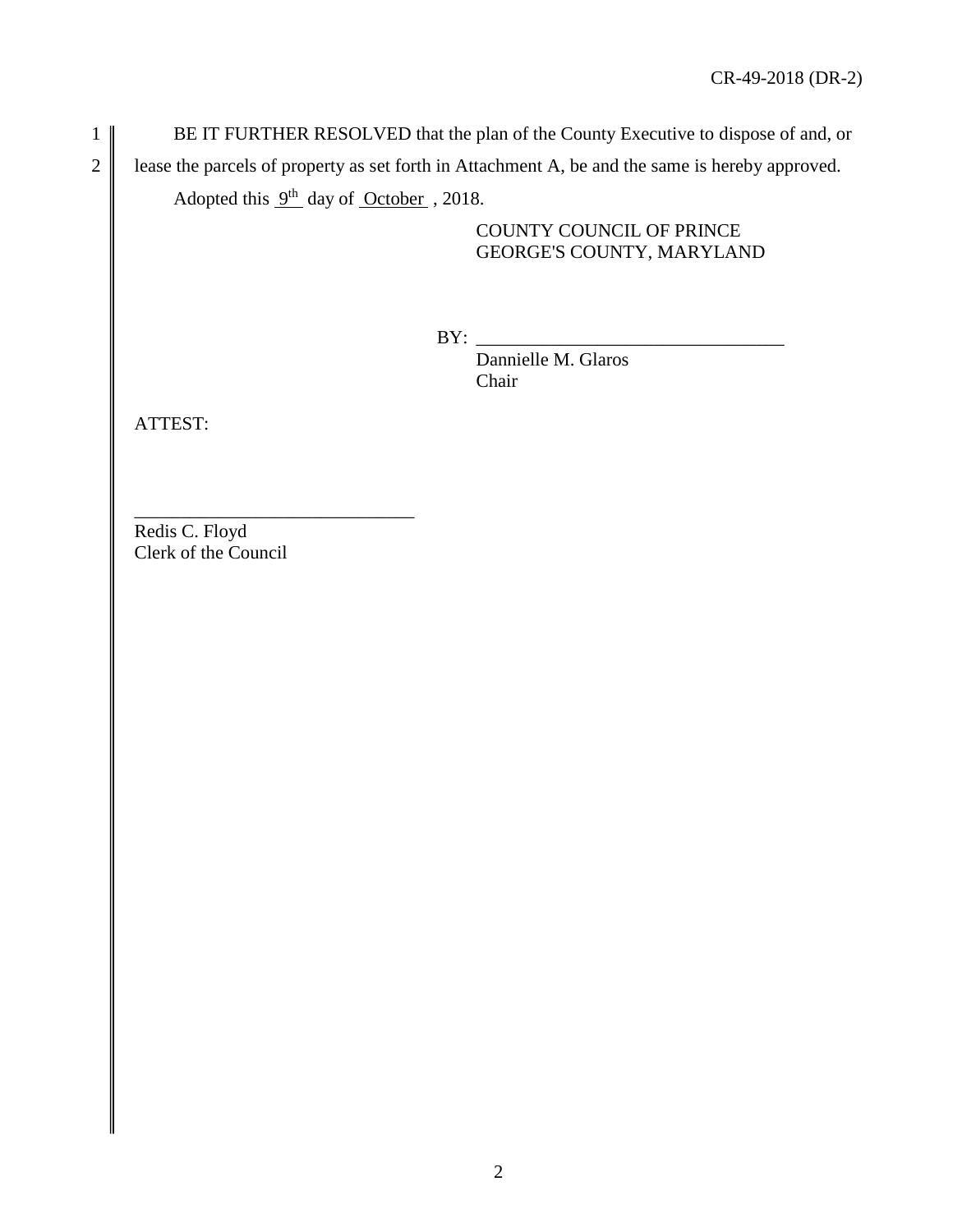1 BE IT FURTHER RESOLVED that the plan of the County Executive to dispose of and, or 2 lease the parcels of property as set forth in Attachment A, be and the same is hereby approved. Adopted this  $9<sup>th</sup>$  day of October , 2018.

# COUNTY COUNCIL OF PRINCE GEORGE'S COUNTY, MARYLAND

BY: \_\_\_\_\_\_\_\_\_\_\_\_\_\_\_\_\_\_\_\_\_\_\_\_\_\_\_\_\_\_\_\_\_

Dannielle M. Glaros Chair

ATTEST:

\_\_\_\_\_\_\_\_\_\_\_\_\_\_\_\_\_\_\_\_\_\_\_\_\_\_\_\_\_\_ Redis C. Floyd Clerk of the Council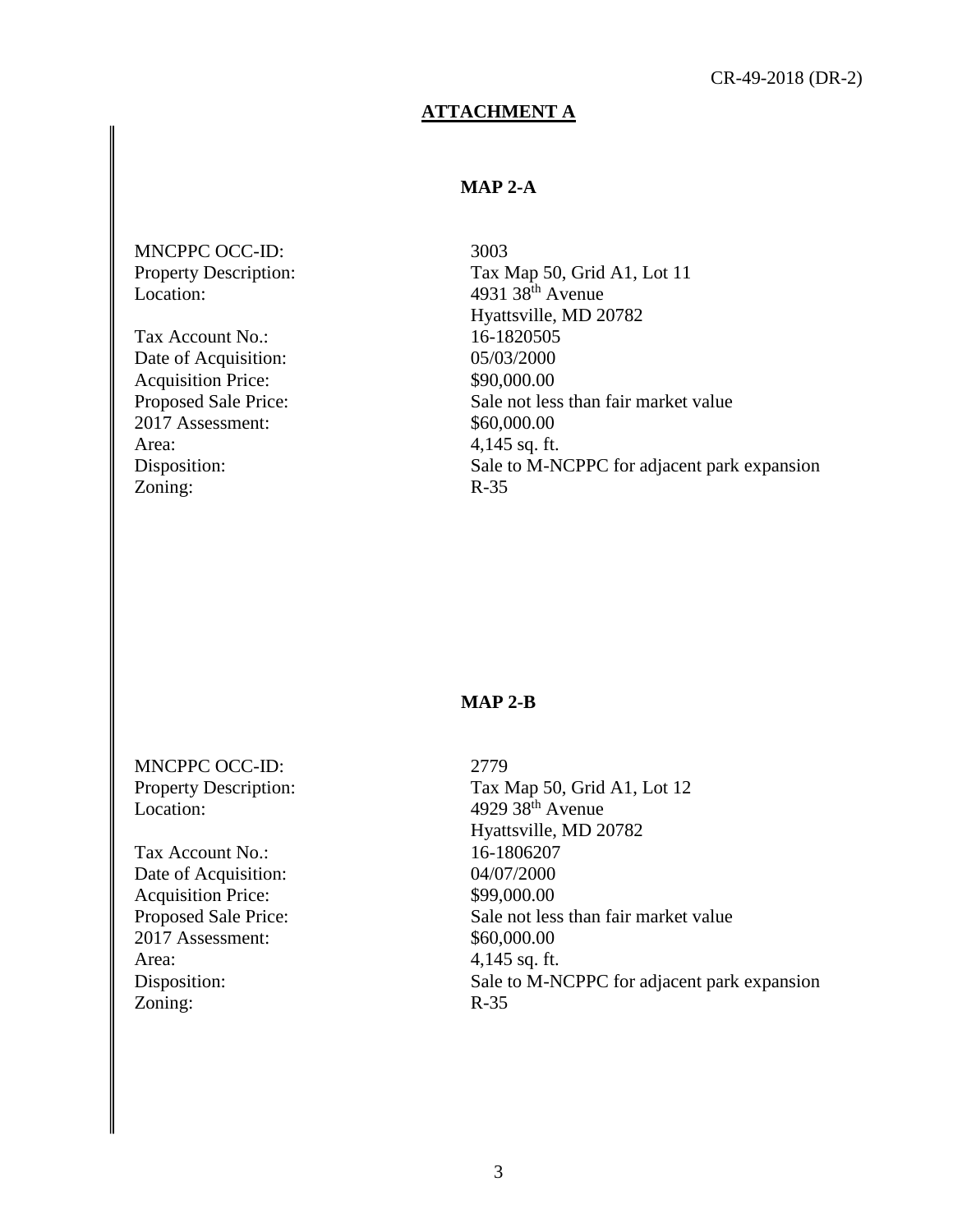## **ATTACHMENT A**

# **MAP 2-A**

MNCPPC OCC-ID: Property Description: Location:

Tax Account No.: Date of Acquisition: Acquisition Price: Proposed Sale Price: 2017 Assessment: Area: Disposition: Zoning:

3003 Tax Map 50, Grid A1, Lot 11 4931  $38^{\text{th}}$  Avenue Hyattsville, MD 20782 16-1820505 05/03/2000 \$90,000.00 Sale not less than fair market value \$60,000.00 4,145 sq. ft. Sale to M-NCPPC for adjacent park expansion R-35

#### **MAP 2-B**

MNCPPC OCC-ID: Property Description: Location:

Tax Account No.: Date of Acquisition: Acquisition Price: Proposed Sale Price: 2017 Assessment: Area: Disposition: Zoning:

2779 Tax Map 50, Grid A1, Lot 12 4929 38th Avenue Hyattsville, MD 20782 16-1806207 04/07/2000 \$99,000.00 Sale not less than fair market value \$60,000.00 4,145 sq. ft. Sale to M-NCPPC for adjacent park expansion R-35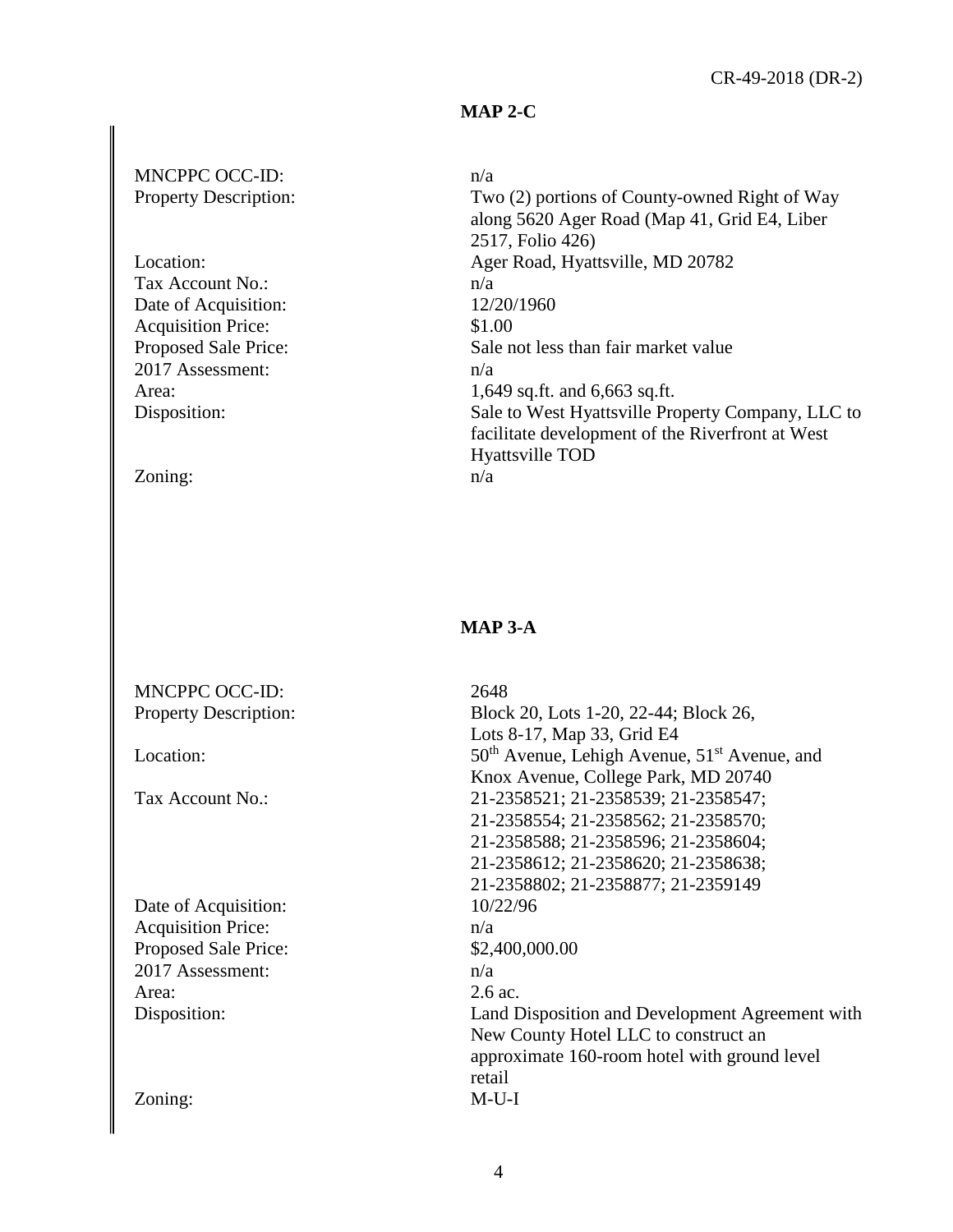## **MAP 2-C**

## MNCPPC OCC-ID: Property Description:

Location: Tax Account No.: Date of Acquisition: Acquisition Price: Proposed Sale Price: 2017 Assessment: Area: Disposition:

Zoning:

#### n/a

Two (2) portions of County-owned Right of Way along 5620 Ager Road (Map 41, Grid E4, Liber 2517, Folio 426) Ager Road, Hyattsville, MD 20782 n/a 12/20/1960 \$1.00 Sale not less than fair market value n/a 1,649 sq.ft. and 6,663 sq.ft. Sale to West Hyattsville Property Company, LLC to facilitate development of the Riverfront at West Hyattsville TOD n/a

# **MAP 3-A**

| MNCPPC OCC-ID:               | 2648                                             |
|------------------------------|--------------------------------------------------|
| <b>Property Description:</b> | Block 20, Lots 1-20, 22-44; Block 26,            |
|                              | Lots 8-17, Map 33, Grid E4                       |
| Location:                    | $50th$ Avenue, Lehigh Avenue, $51st$ Avenue, and |
|                              | Knox Avenue, College Park, MD 20740              |
| Tax Account No.:             | 21-2358521; 21-2358539; 21-2358547;              |
|                              | 21-2358554; 21-2358562; 21-2358570;              |
|                              | 21-2358588; 21-2358596; 21-2358604;              |
|                              | 21-2358612; 21-2358620; 21-2358638;              |
|                              | 21-2358802; 21-2358877; 21-2359149               |
| Date of Acquisition:         | 10/22/96                                         |
| <b>Acquisition Price:</b>    | n/a                                              |
| Proposed Sale Price:         | \$2,400,000.00                                   |
| 2017 Assessment:             | n/a                                              |
| Area:                        | 2.6 ac.                                          |
| Disposition:                 | Land Disposition and Development Agreement with  |
|                              | New County Hotel LLC to construct an             |
|                              | approximate 160-room hotel with ground level     |
|                              | retail                                           |
| Zoning:                      | $M-U-I$                                          |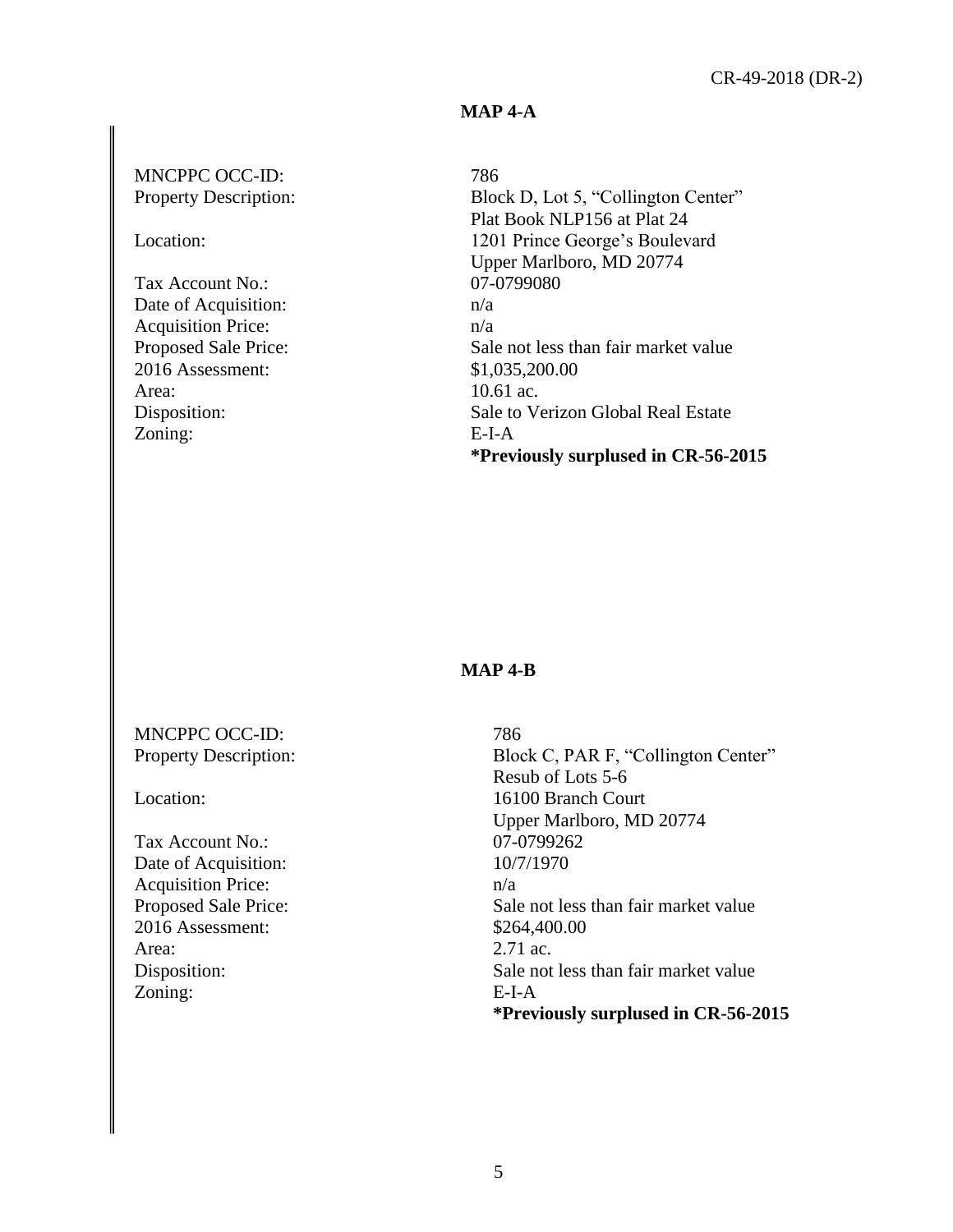## **MAP 4-A**

## MNCPPC OCC-ID: Property Description:

#### Location:

Tax Account No.: Date of Acquisition: Acquisition Price: Proposed Sale Price: 2016 Assessment: Area: Disposition: Zoning:

## 786

Block D, Lot 5, "Collington Center" Plat Book NLP156 at Plat 24 1201 Prince George's Boulevard Upper Marlboro, MD 20774 07-0799080 n/a n/a Sale not less than fair market value \$1,035,200.00 10.61 ac. Sale to Verizon Global Real Estate E-I-A **\*Previously surplused in CR-56-2015**

#### **MAP 4-B**

MNCPPC OCC-ID: Property Description:

Location:

Tax Account No.: Date of Acquisition: Acquisition Price: Proposed Sale Price: 2016 Assessment: Area: Disposition: Zoning:

786 Block C, PAR F, "Collington Center" Resub of Lots 5-6 16100 Branch Court Upper Marlboro, MD 20774 07-0799262 10/7/1970 n/a Sale not less than fair market value \$264,400.00 2.71 ac. Sale not less than fair market value E-I-A **\*Previously surplused in CR-56-2015**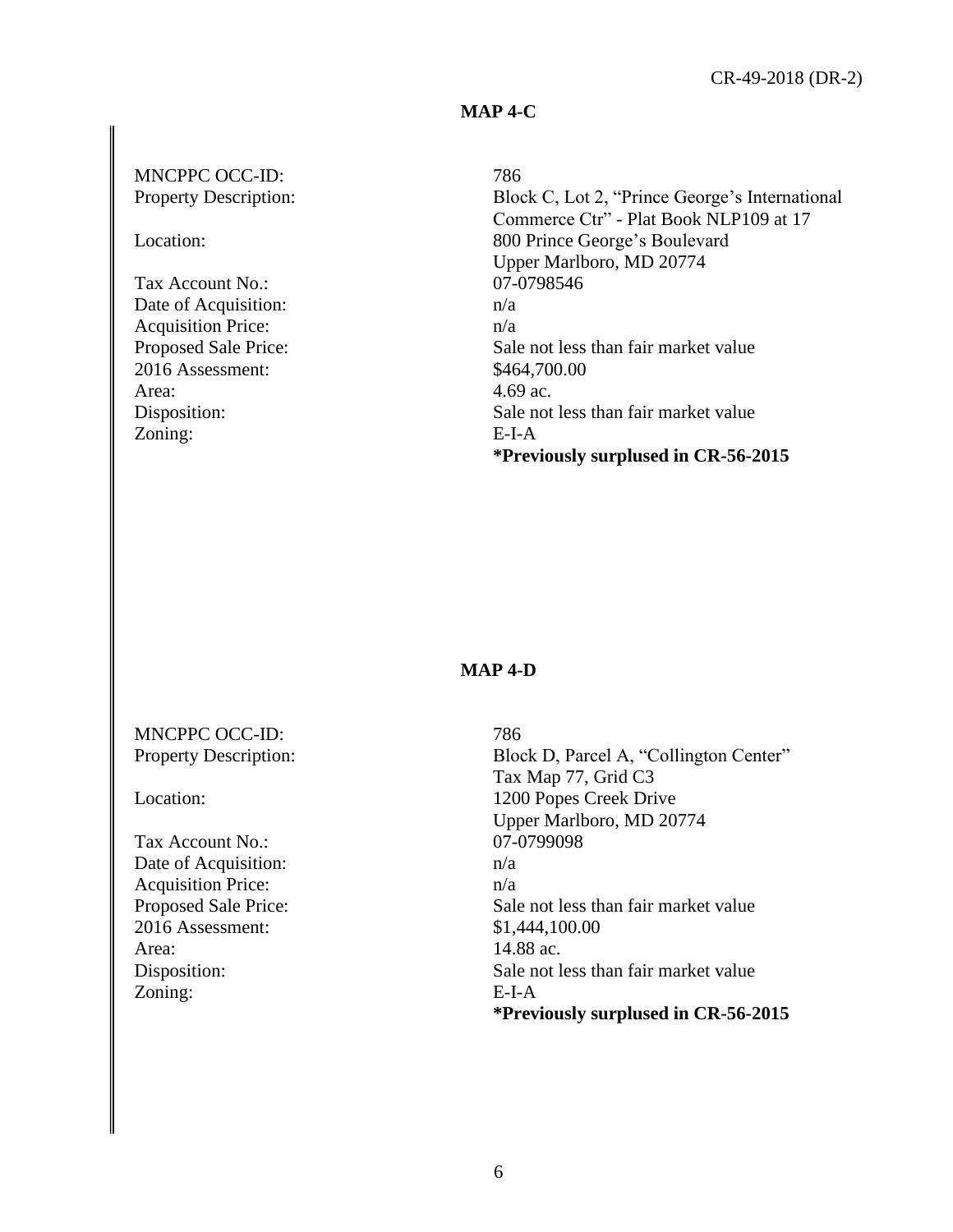## **MAP 4-C**

## MNCPPC OCC-ID: Property Description:

Location:

Tax Account No.: Date of Acquisition: Acquisition Price: Proposed Sale Price: 2016 Assessment: Area: Disposition: Zoning:

## 786

Block C, Lot 2, "Prince George's International Commerce Ctr" - Plat Book NLP109 at 17 800 Prince George's Boulevard Upper Marlboro, MD 20774 07-0798546 n/a n/a Sale not less than fair market value \$464,700.00 4.69 ac. Sale not less than fair market value E-I-A **\*Previously surplused in CR-56-2015**

#### **MAP 4-D**

MNCPPC OCC-ID: Property Description:

Location:

Tax Account No.: Date of Acquisition: Acquisition Price: Proposed Sale Price: 2016 Assessment: Area: Disposition: Zoning:

786 Block D, Parcel A, "Collington Center" Tax Map 77, Grid C3 1200 Popes Creek Drive Upper Marlboro, MD 20774 07-0799098 n/a n/a Sale not less than fair market value \$1,444,100.00 14.88 ac. Sale not less than fair market value E-I-A **\*Previously surplused in CR-56-2015**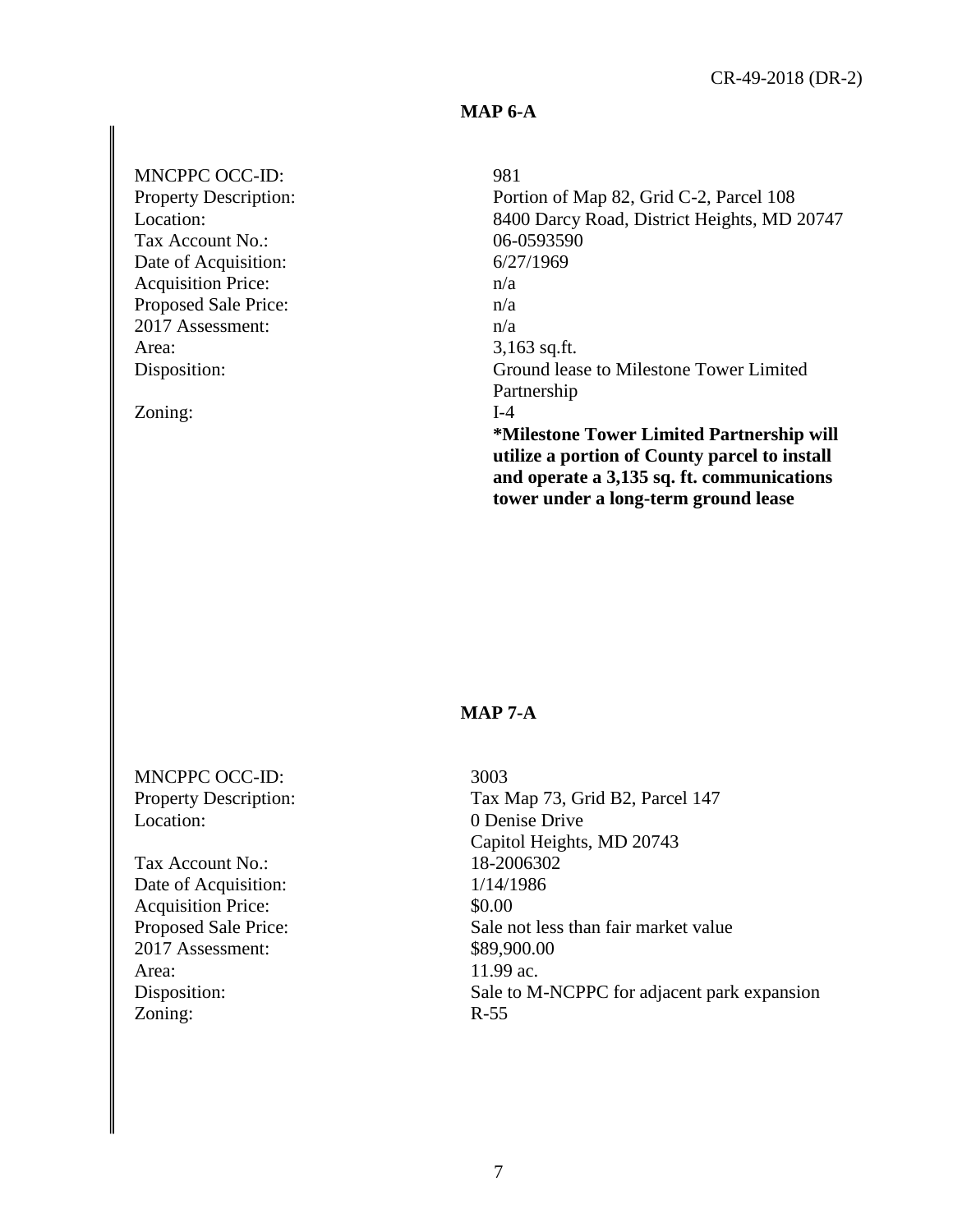## **MAP 6-A**

# MNCPPC OCC-ID:

Property Description: Location: Tax Account No.: Date of Acquisition: Acquisition Price: Proposed Sale Price: 2017 Assessment: Area: Disposition:

Zoning:

#### 981

Portion of Map 82, Grid C-2, Parcel 108 8400 Darcy Road, District Heights, MD 20747 06-0593590 6/27/1969 n/a n/a n/a 3,163 sq.ft. Ground lease to Milestone Tower Limited Partnership I-4 **\*Milestone Tower Limited Partnership will utilize a portion of County parcel to install and operate a 3,135 sq. ft. communications tower under a long-term ground lease** 

## **MAP 7-A**

MNCPPC OCC-ID: Property Description: Location:

Tax Account No.: Date of Acquisition: Acquisition Price: Proposed Sale Price: 2017 Assessment: Area: Disposition: Zoning:

3003 Tax Map 73, Grid B2, Parcel 147 0 Denise Drive Capitol Heights, MD 20743 18-2006302 1/14/1986 \$0.00 Sale not less than fair market value \$89,900.00 11.99 ac. Sale to M-NCPPC for adjacent park expansion R-55